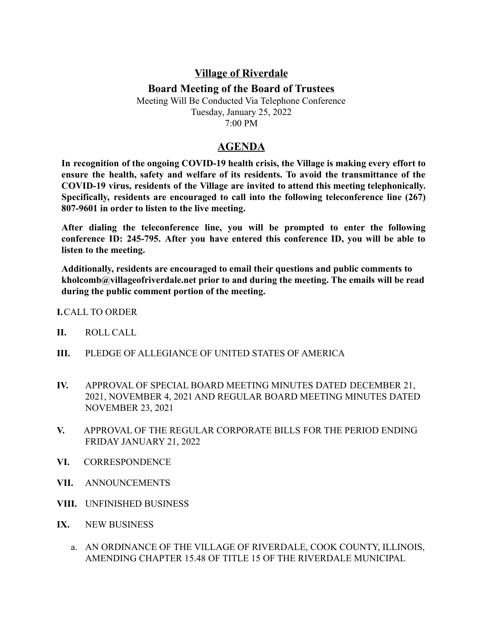## **Village of Riverdale**

## **Board Meeting of the Board of Trustees**

Meeting Will Be Conducted Via Telephone Conference Tuesday, January 25, 2022 7:00 PM

## **AGENDA**

**In recognition of the ongoing COVID-19 health crisis, the Village is making every effort to ensure the health, safety and welfare of its residents. To avoid the transmittance of the COVID-19 virus, residents of the Village are invited to attend this meeting telephonically. Specifically, residents are encouraged to call into the following teleconference line (267) 807-9601 in order to listen to the live meeting.**

**After dialing the teleconference line, you will be prompted to enter the following conference ID: 245-795. After you have entered this conference ID, you will be able to listen to the meeting.**

**Additionally, residents are encouraged to email their questions and public comments to kholcomb@villageofriverdale.net prior to and during the meeting. The emails will be read during the public comment portion of the meeting.**

**I.**CALL TO ORDER

- **II.** ROLL CALL
- **III.** PLEDGE OF ALLEGIANCE OF UNITED STATES OF AMERICA
- **IV.** APPROVAL OF SPECIAL BOARD MEETING MINUTES DATED DECEMBER 21, 2021, NOVEMBER 4, 2021 AND REGULAR BOARD MEETING MINUTES DATED NOVEMBER 23, 2021
- **V.** APPROVAL OF THE REGULAR CORPORATE BILLS FOR THE PERIOD ENDING FRIDAY JANUARY 21, 2022
- **VI.** CORRESPONDENCE
- **VII.** ANNOUNCEMENTS
- **VIII.** UNFINISHED BUSINESS
- **IX.** NEW BUSINESS
	- a. AN ORDINANCE OF THE VILLAGE OF RIVERDALE, COOK COUNTY, ILLINOIS, AMENDING CHAPTER 15.48 OF TITLE 15 OF THE RIVERDALE MUNICIPAL